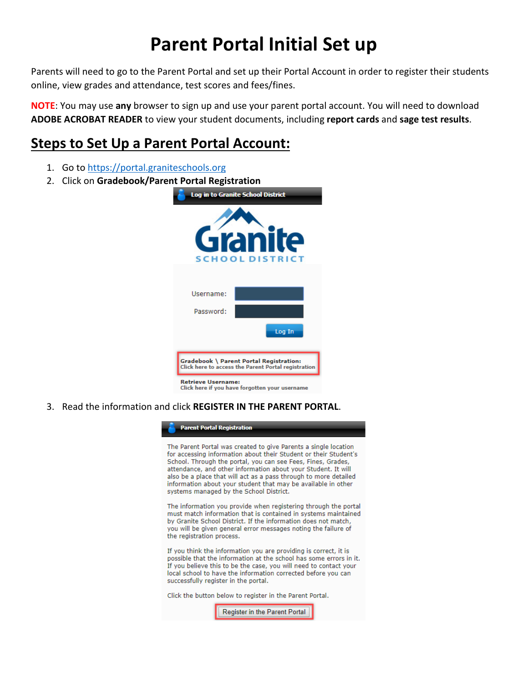## **Parent Portal Initial Set up**

Parents will need to go to the Parent Portal and set up their Portal Account in order to register their students online, view grades and attendance, test scores and fees/fines.

**NOTE**: You may use **any** browser to sign up and use your parent portal account. You will need to download **ADOBE ACROBAT READER** to view your student documents, including **report cards** and **sage test results**.

## **Steps to Set Up a Parent Portal Account:**

- 1. Go t[o https://portal.graniteschools.org](https://portal.graniteschools.org/)
- 2. Click on **Gradebook/Parent Portal Registration**



3. Read the information and click **REGISTER IN THE PARENT PORTAL**.